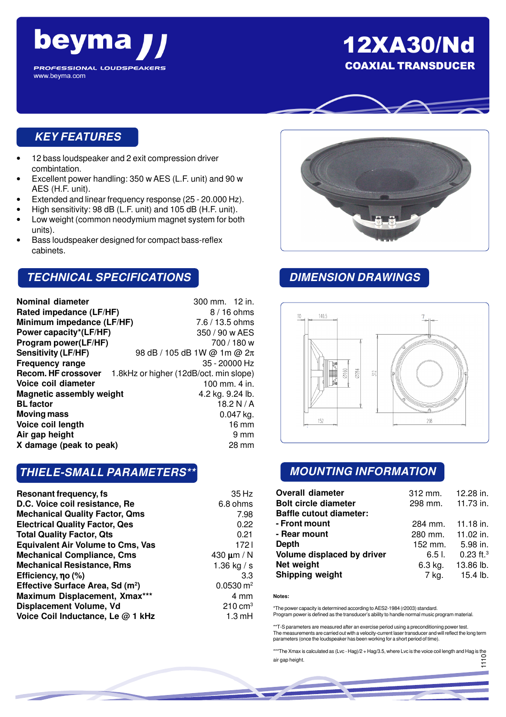

# 12XA30/Nd COAXIAL TRANSDUCER



## **KEY FEATURES**

- 12 bass loudspeaker and 2 exit compression driver combintation.
- Excellent power handling: 350 w AES (L.F. unit) and 90 w AES (H.F. unit).
- Extended and linear frequency response (25 20.000 Hz).
- High sensitivity: 98 dB (L.F. unit) and 105 dB (H.F. unit).
- Low weight (common neodymium magnet system for both units).
- Bass loudspeaker designed for compact bass-reflex cabinets.

## **TECHNICAL SPECIFICATIONS**

| Nominal diameter                | 300 mm. 12 in.                         |
|---------------------------------|----------------------------------------|
| Rated impedance (LF/HF)         | $8/16$ ohms                            |
| Minimum impedance (LF/HF)       | 7.6 / 13.5 ohms                        |
| Power capacity*(LF/HF)          | 350 / 90 w AES                         |
| Program power(LF/HF)            | 700 / 180 w                            |
| <b>Sensitivity (LF/HF)</b>      | 98 dB / 105 dB 1W @ 1m @ 2π            |
| <b>Frequency range</b>          | $35 - 20000$ Hz                        |
| <b>Recom. HF crossover</b>      | 1.8kHz or higher (12dB/oct. min slope) |
| Voice coil diameter             | 100 mm. 4 in.                          |
| <b>Magnetic assembly weight</b> | 4.2 kg. 9.24 lb.                       |
| <b>BL factor</b>                | 18.2 N / A                             |
| <b>Moving mass</b>              | $0.047$ kg.                            |
| Voice coil length               | $16 \text{ mm}$                        |
| Air gap height                  | 9 mm                                   |
| X damage (peak to peak)         | 28 mm                                  |

#### **THIELE-SMALL PARAMETERS\*\***

| Resonant frequency, fs.                      | 35 Hz                  |
|----------------------------------------------|------------------------|
| D.C. Voice coil resistance, Re               | 6.8 ohms               |
| <b>Mechanical Quality Factor, Qms</b>        | 7.98                   |
| <b>Electrical Quality Factor, Qes</b>        | 0.22                   |
| <b>Total Quality Factor, Qts</b>             | 0.21                   |
| <b>Equivalent Air Volume to Cms, Vas</b>     | 1721                   |
| <b>Mechanical Compliance, Cms</b>            | 430 $\mu$ m / N        |
| <b>Mechanical Resistance, Rms</b>            | 1.36 kg / s            |
| Efficiency, no (%)                           | 3.3                    |
| Effective Surface Area, Sd (m <sup>2</sup> ) | $0.0530 \, \text{m}^2$ |
| Maximum Displacement, Xmax***                | 4 mm                   |
| Displacement Volume, Vd                      | $210 \text{ cm}^3$     |
| Voice Coil Inductance, Le @ 1 kHz            | $1.3 \text{ mH}$       |
|                                              |                        |



## **DIMENSION DRAWINGS**



#### **MOUNTING INFORMATION**

| <b>Overall diameter</b>        | $312$ mm. | 12.28 in.               |
|--------------------------------|-----------|-------------------------|
| <b>Bolt circle diameter</b>    | 298 mm.   | 11.73 in.               |
| <b>Baffle cutout diameter:</b> |           |                         |
| - Front mount                  | 284 mm.   | 11.18 in.               |
| - Rear mount                   | 280 mm.   | 11.02 in.               |
| Depth                          | 152 mm.   | 5.98 in.                |
| Volume displaced by driver     | $6.51$ .  | $0.23$ ft. <sup>3</sup> |
| Net weight                     | 6.3 kg.   | 13.86 lb.               |
| <b>Shipping weight</b>         | 7 kg.     | 15.4 lb.                |

#### **Notes:**

\*The power capacity is determined according to AES2-1984 (r2003) standard. Program power is defined as the transducer's ability to handle normal music program material.

\*\*T-S parameters are measured after an exercise period using a preconditioning power test. The measurements are carried out with a velocity-current laser transducer and will reflect the long term parameters (once the loudspeaker has been working for a short period of time).

\*\*\*The Xmax is calculated as (Lvc - Hag)/2 + Hag/3.5, where Lvc is the voice coil length and Hag is the air gap height. 1110<br>111